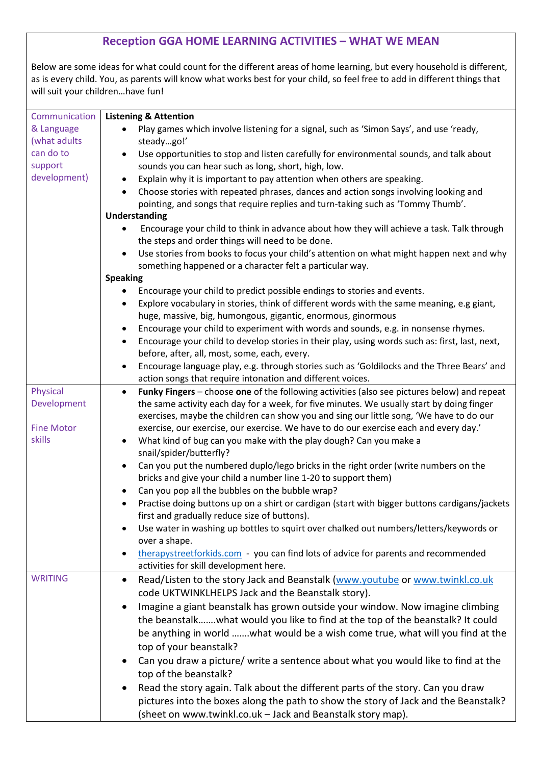## **Reception GGA HOME LEARNING ACTIVITIES – WHAT WE MEAN**

Below are some ideas for what could count for the different areas of home learning, but every household is different, as is every child. You, as parents will know what works best for your child, so feel free to add in different things that will suit your children…have fun!

| Communication     | <b>Listening &amp; Attention</b>                                                                            |  |  |
|-------------------|-------------------------------------------------------------------------------------------------------------|--|--|
| & Language        | Play games which involve listening for a signal, such as 'Simon Says', and use 'ready,                      |  |  |
| (what adults      | steadygo!'                                                                                                  |  |  |
| can do to         | Use opportunities to stop and listen carefully for environmental sounds, and talk about                     |  |  |
| support           | sounds you can hear such as long, short, high, low.                                                         |  |  |
| development)      | Explain why it is important to pay attention when others are speaking.                                      |  |  |
|                   | Choose stories with repeated phrases, dances and action songs involving looking and<br>$\bullet$            |  |  |
|                   | pointing, and songs that require replies and turn-taking such as 'Tommy Thumb'.                             |  |  |
|                   | <b>Understanding</b>                                                                                        |  |  |
|                   | Encourage your child to think in advance about how they will achieve a task. Talk through                   |  |  |
|                   | the steps and order things will need to be done.                                                            |  |  |
|                   | Use stories from books to focus your child's attention on what might happen next and why                    |  |  |
|                   | something happened or a character felt a particular way.                                                    |  |  |
|                   | <b>Speaking</b>                                                                                             |  |  |
|                   | Encourage your child to predict possible endings to stories and events.                                     |  |  |
|                   | Explore vocabulary in stories, think of different words with the same meaning, e.g giant,<br>٠              |  |  |
|                   | huge, massive, big, humongous, gigantic, enormous, ginormous                                                |  |  |
|                   | Encourage your child to experiment with words and sounds, e.g. in nonsense rhymes.<br>$\bullet$             |  |  |
|                   | Encourage your child to develop stories in their play, using words such as: first, last, next,<br>$\bullet$ |  |  |
|                   | before, after, all, most, some, each, every.                                                                |  |  |
|                   | Encourage language play, e.g. through stories such as 'Goldilocks and the Three Bears' and<br>$\bullet$     |  |  |
|                   | action songs that require intonation and different voices.                                                  |  |  |
| Physical          | Funky Fingers - choose one of the following activities (also see pictures below) and repeat<br>$\bullet$    |  |  |
| Development       | the same activity each day for a week, for five minutes. We usually start by doing finger                   |  |  |
|                   | exercises, maybe the children can show you and sing our little song, 'We have to do our                     |  |  |
| <b>Fine Motor</b> | exercise, our exercise, our exercise. We have to do our exercise each and every day.'                       |  |  |
| skills            | What kind of bug can you make with the play dough? Can you make a                                           |  |  |
|                   | snail/spider/butterfly?                                                                                     |  |  |
|                   | Can you put the numbered duplo/lego bricks in the right order (write numbers on the                         |  |  |
|                   | bricks and give your child a number line 1-20 to support them)                                              |  |  |
|                   | Can you pop all the bubbles on the bubble wrap?<br>$\bullet$                                                |  |  |
|                   | Practise doing buttons up on a shirt or cardigan (start with bigger buttons cardigans/jackets               |  |  |
|                   | first and gradually reduce size of buttons).                                                                |  |  |
|                   | Use water in washing up bottles to squirt over chalked out numbers/letters/keywords or                      |  |  |
|                   | over a shape.                                                                                               |  |  |
|                   | therapystreetforkids.com - you can find lots of advice for parents and recommended                          |  |  |
|                   | activities for skill development here.                                                                      |  |  |
| <b>WRITING</b>    | Read/Listen to the story Jack and Beanstalk (www.youtube or www.twinkl.co.uk<br>$\bullet$                   |  |  |
|                   | code UKTWINKLHELPS Jack and the Beanstalk story).                                                           |  |  |
|                   | Imagine a giant beanstalk has grown outside your window. Now imagine climbing                               |  |  |
|                   | the beanstalkwhat would you like to find at the top of the beanstalk? It could                              |  |  |
|                   | be anything in world what would be a wish come true, what will you find at the                              |  |  |
|                   | top of your beanstalk?                                                                                      |  |  |
|                   | Can you draw a picture/ write a sentence about what you would like to find at the                           |  |  |
|                   |                                                                                                             |  |  |
|                   | top of the beanstalk?                                                                                       |  |  |
|                   | Read the story again. Talk about the different parts of the story. Can you draw                             |  |  |
|                   | pictures into the boxes along the path to show the story of Jack and the Beanstalk?                         |  |  |
|                   | (sheet on www.twinkl.co.uk - Jack and Beanstalk story map).                                                 |  |  |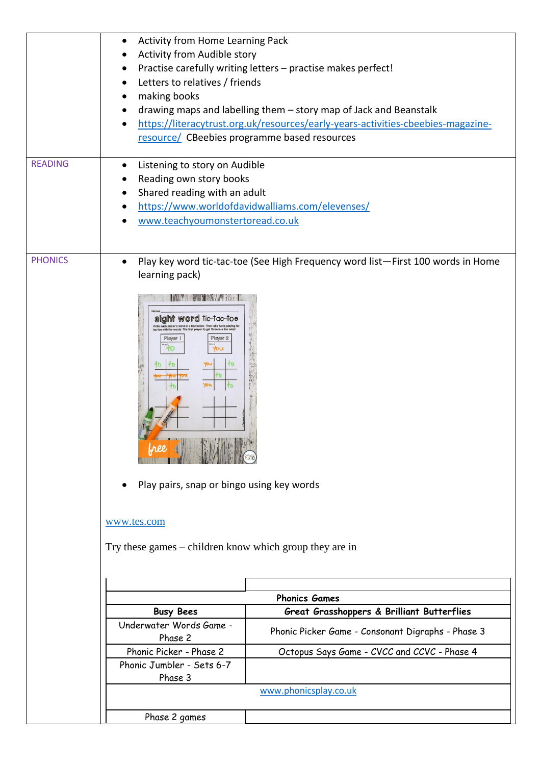|                | Activity from Home Learning Pack<br>Activity from Audible story<br>Letters to relatives / friends<br>making books                                                                                                              | Practise carefully writing letters - practise makes perfect!<br>drawing maps and labelling them - story map of Jack and Beanstalk<br>https://literacytrust.org.uk/resources/early-years-activities-cbeebies-magazine-<br>resource/ CBeebies programme based resources |
|----------------|--------------------------------------------------------------------------------------------------------------------------------------------------------------------------------------------------------------------------------|-----------------------------------------------------------------------------------------------------------------------------------------------------------------------------------------------------------------------------------------------------------------------|
| <b>READING</b> | Listening to story on Audible<br>Reading own story books<br>Shared reading with an adult<br>www.teachyoumonstertoread.co.uk                                                                                                    | https://www.worldofdavidwalliams.com/elevenses/                                                                                                                                                                                                                       |
| <b>PHONICS</b> | $\bullet$<br>learning pack)<br>sight word tic-tac-toe<br>Player 2<br>Player<br>ALCOHOL: PERSONAL BRANCH<br>Play pairs, snap or bingo using key words<br>www.tes.com<br>Try these games – children know which group they are in | Play key word tic-tac-toe (See High Frequency word list-First 100 words in Home                                                                                                                                                                                       |
|                |                                                                                                                                                                                                                                | <b>Phonics Games</b>                                                                                                                                                                                                                                                  |
|                | <b>Busy Bees</b>                                                                                                                                                                                                               | Great Grasshoppers & Brilliant Butterflies                                                                                                                                                                                                                            |
|                | Underwater Words Game -<br>Phase 2                                                                                                                                                                                             | Phonic Picker Game - Consonant Digraphs - Phase 3                                                                                                                                                                                                                     |
|                | Phonic Picker - Phase 2                                                                                                                                                                                                        | Octopus Says Game - CVCC and CCVC - Phase 4                                                                                                                                                                                                                           |
|                | Phonic Jumbler - Sets 6-7<br>Phase 3                                                                                                                                                                                           |                                                                                                                                                                                                                                                                       |
|                |                                                                                                                                                                                                                                | www.phonicsplay.co.uk                                                                                                                                                                                                                                                 |
|                | Phase 2 games                                                                                                                                                                                                                  |                                                                                                                                                                                                                                                                       |
|                |                                                                                                                                                                                                                                |                                                                                                                                                                                                                                                                       |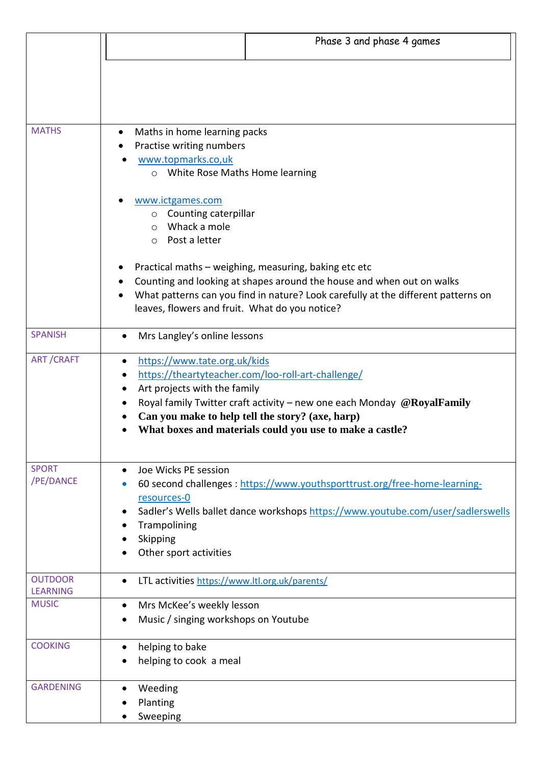|                                 | Phase 3 and phase 4 games                                                                                                                                                                                                                                                                                      |
|---------------------------------|----------------------------------------------------------------------------------------------------------------------------------------------------------------------------------------------------------------------------------------------------------------------------------------------------------------|
|                                 |                                                                                                                                                                                                                                                                                                                |
|                                 |                                                                                                                                                                                                                                                                                                                |
| <b>MATHS</b>                    | Maths in home learning packs<br>٠<br>Practise writing numbers                                                                                                                                                                                                                                                  |
|                                 | www.topmarks.co,uk<br>o White Rose Maths Home learning                                                                                                                                                                                                                                                         |
|                                 | www.ictgames.com<br>o Counting caterpillar                                                                                                                                                                                                                                                                     |
|                                 | $\circ$ Whack a mole<br>o Post a letter                                                                                                                                                                                                                                                                        |
|                                 | Practical maths - weighing, measuring, baking etc etc<br>Counting and looking at shapes around the house and when out on walks                                                                                                                                                                                 |
|                                 | What patterns can you find in nature? Look carefully at the different patterns on<br>leaves, flowers and fruit. What do you notice?                                                                                                                                                                            |
| <b>SPANISH</b>                  | Mrs Langley's online lessons                                                                                                                                                                                                                                                                                   |
| <b>ART/CRAFT</b>                | https://www.tate.org.uk/kids<br>https://theartyteacher.com/loo-roll-art-challenge/<br>Art projects with the family<br>Royal family Twitter craft activity – new one each Monday $@RoyalFamily$<br>Can you make to help tell the story? (axe, harp)<br>What boxes and materials could you use to make a castle? |
| <b>SPORT</b><br>/PE/DANCE       | Joe Wicks PE session<br>60 second challenges : https://www.youthsporttrust.org/free-home-learning-                                                                                                                                                                                                             |
|                                 | resources-0<br>Sadler's Wells ballet dance workshops https://www.youtube.com/user/sadlerswells                                                                                                                                                                                                                 |
|                                 | Trampolining<br>Skipping<br>Other sport activities                                                                                                                                                                                                                                                             |
| <b>OUTDOOR</b>                  | LTL activities https://www.ltl.org.uk/parents/                                                                                                                                                                                                                                                                 |
| <b>LEARNING</b><br><b>MUSIC</b> |                                                                                                                                                                                                                                                                                                                |
|                                 | Mrs McKee's weekly lesson<br>$\bullet$<br>Music / singing workshops on Youtube                                                                                                                                                                                                                                 |
| <b>COOKING</b>                  | helping to bake<br>$\bullet$<br>helping to cook a meal                                                                                                                                                                                                                                                         |
| <b>GARDENING</b>                | Weeding<br>Planting<br>Sweeping                                                                                                                                                                                                                                                                                |